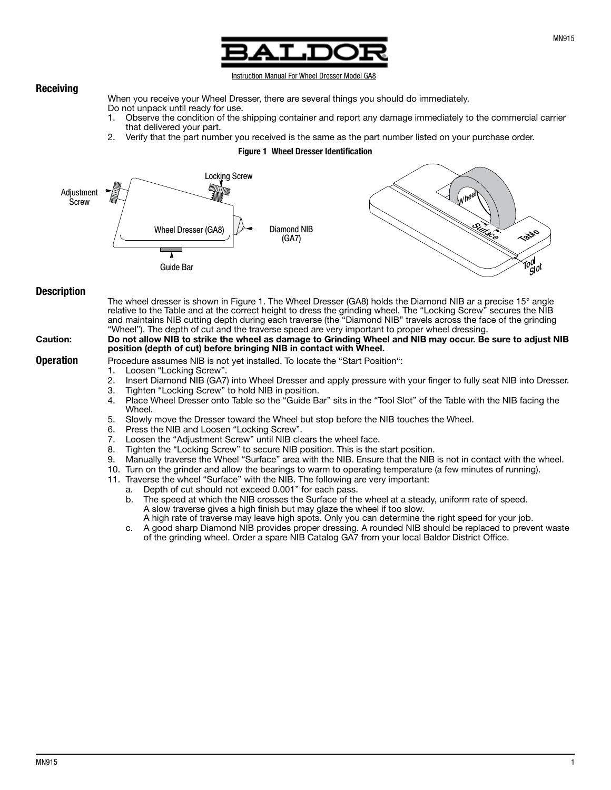

#### Instruction Manual For Wheel Dresser Model GA8

When you receive your Wheel Dresser, there are several things you should do immediately. Do not unpack until ready for use.

- 1. Observe the condition of the shipping container and report any damage immediately to the commercial carrier that delivered your part.
- 2. Verify that the part number you received is the same as the part number listed on your purchase order.

### Figure 1 Wheel Dresser Identification



## **Description**

Receiving

The wheel dresser is shown in Figure 1. The Wheel Dresser (GA8) holds the Diamond NIB ar a precise 15° angle relative to the Table and at the correct height to dress the grinding wheel. The "Locking Screw" secures the NIB and maintains NIB cutting depth during each traverse (the "Diamond NIB" travels across the face of the grinding "Wheel"). The depth of cut and the traverse speed are very important to proper wheel dressing.

## Caution: Do not allow NIB to strike the wheel as damage to Grinding Wheel and NIB may occur. Be sure to adjust NIB position (depth of cut) before bringing NIB in contact with Wheel.

- **Operation** Procedure assumes NIB is not yet installed. To locate the "Start Position":<br>1. Loosen "Locking Screw".
	- Loosen "Locking Screw".
	- 2. Insert Diamond NIB (GA7) into Wheel Dresser and apply pressure with your finger to fully seat NIB into Dresser.
	-
	- 3. Tighten "Locking Screw" to hold NIB in position. Place Wheel Dresser onto Table so the "Guide Bar" sits in the "Tool Slot" of the Table with the NIB facing the Wheel.
	- 5. Slowly move the Dresser toward the Wheel but stop before the NIB touches the Wheel.
	- 6. Press the NIB and Loosen "Locking Screw".
	- 7. Loosen the "Adjustment Screw" until NIB clears the wheel face.
	- 8. Tighten the "Locking Screw" to secure NIB position. This is the start position.
	- 9. Manually traverse the Wheel "Surface" area with the NIB. Ensure that the NIB is not in contact with the wheel.
	- 10. Turn on the grinder and allow the bearings to warm to operating temperature (a few minutes of running).
	- 11. Traverse the wheel "Surface" with the NIB. The following are very important:
		- a. Depth of cut should not exceed 0.001" for each pass.
		- b. The speed at which the NIB crosses the Surface of the wheel at a steady, uniform rate of speed. A slow traverse gives a high finish but may glaze the wheel if too slow.
			- A high rate of traverse may leave high spots. Only you can determine the right speed for your job.
		- c. A good sharp Diamond NIB provides proper dressing. A rounded NIB should be replaced to prevent waste of the grinding wheel. Order a spare NIB Catalog GA7 from your local Baldor District Office.